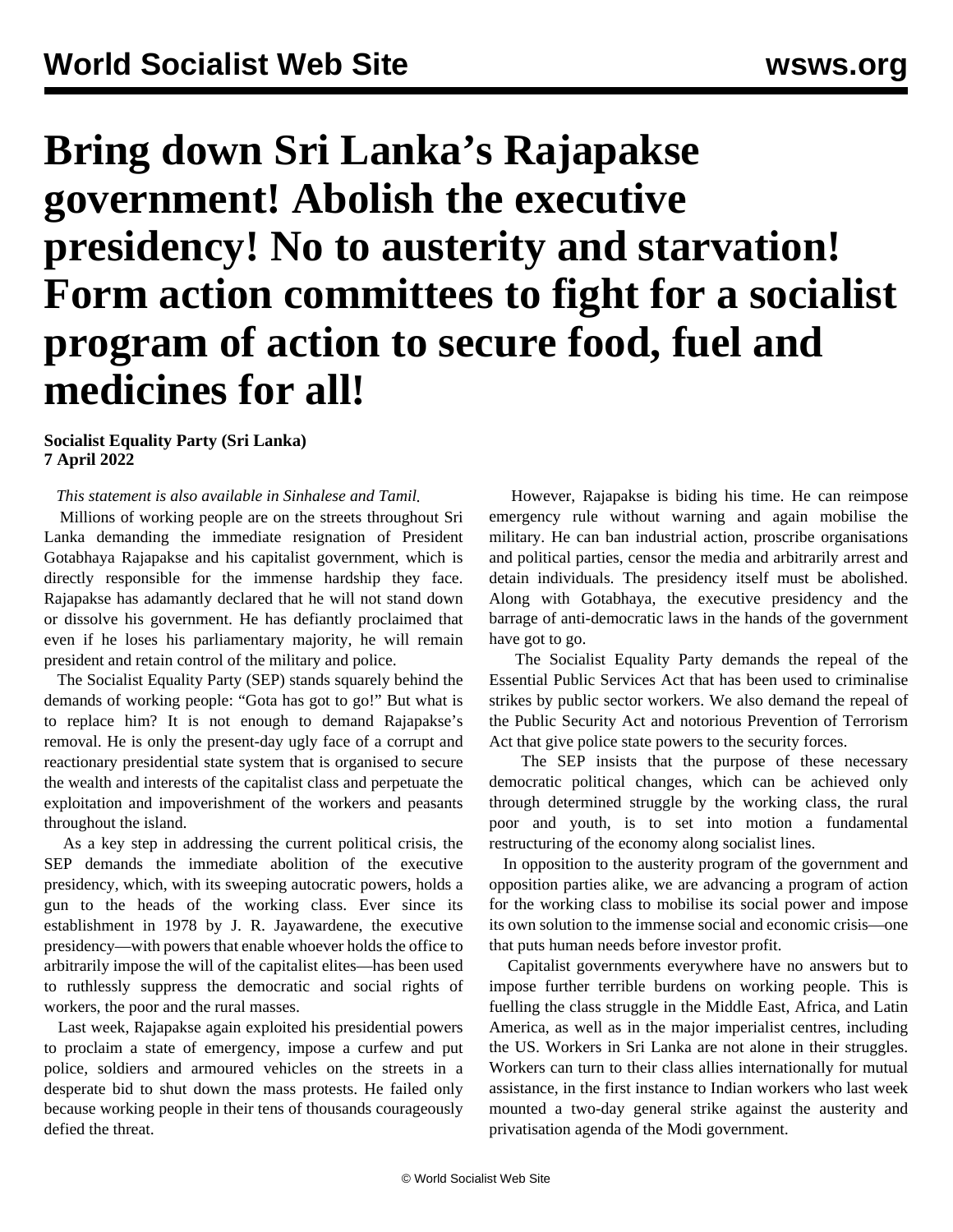# **Bring down Sri Lanka's Rajapakse government! Abolish the executive presidency! No to austerity and starvation! Form action committees to fight for a socialist program of action to secure food, fuel and medicines for all!**

# **Socialist Equality Party (Sri Lanka) 7 April 2022**

*This statement is also available in [Sinhalese](/si/articles/2022/04/07/sril-a07.html) and [Tamil.](/ta/articles/2022/04/07/sril-a07.html)*

 Millions of working people are on the streets throughout Sri Lanka demanding the immediate resignation of President Gotabhaya Rajapakse and his capitalist government, which is directly responsible for the immense hardship they face. Rajapakse has adamantly declared that he will not stand down or dissolve his government. He has defiantly proclaimed that even if he loses his parliamentary majority, he will remain president and retain control of the military and police.

 The Socialist Equality Party (SEP) stands squarely behind the demands of working people: "Gota has got to go!" But what is to replace him? It is not enough to demand Rajapakse's removal. He is only the present-day ugly face of a corrupt and reactionary presidential state system that is organised to secure the wealth and interests of the capitalist class and perpetuate the exploitation and impoverishment of the workers and peasants throughout the island.

 As a key step in addressing the current political crisis, the SEP demands the immediate abolition of the executive presidency, which, with its sweeping autocratic powers, holds a gun to the heads of the working class. Ever since its establishment in 1978 by J. R. Jayawardene, the executive presidency—with powers that enable whoever holds the office to arbitrarily impose the will of the capitalist elites—has been used to ruthlessly suppress the democratic and social rights of workers, the poor and the rural masses.

 Last week, Rajapakse again exploited his presidential powers to proclaim a state of emergency, impose a curfew and put police, soldiers and armoured vehicles on the streets in a desperate bid to shut down the mass protests. He failed only because working people in their tens of thousands courageously defied the threat.

 However, Rajapakse is biding his time. He can reimpose emergency rule without warning and again mobilise the military. He can ban industrial action, proscribe organisations and political parties, censor the media and arbitrarily arrest and detain individuals. The presidency itself must be abolished. Along with Gotabhaya, the executive presidency and the barrage of anti-democratic laws in the hands of the government have got to go.

 The Socialist Equality Party demands the repeal of the Essential Public Services Act that has been used to criminalise strikes by public sector workers. We also demand the repeal of the Public Security Act and notorious Prevention of Terrorism Act that give police state powers to the security forces.

 The SEP insists that the purpose of these necessary democratic political changes, which can be achieved only through determined struggle by the working class, the rural poor and youth, is to set into motion a fundamental restructuring of the economy along socialist lines.

 In opposition to the austerity program of the government and opposition parties alike, we are advancing a program of action for the working class to mobilise its social power and impose its own solution to the immense social and economic crisis—one that puts human needs before investor profit.

 Capitalist governments everywhere have no answers but to impose further terrible burdens on working people. This is fuelling the class struggle in the Middle East, Africa, and Latin America, as well as in the major imperialist centres, including the US. Workers in Sri Lanka are not alone in their struggles. Workers can turn to their class allies internationally for mutual assistance, in the first instance to Indian workers who last week mounted a two-day general strike against the austerity and privatisation agenda of the Modi government.